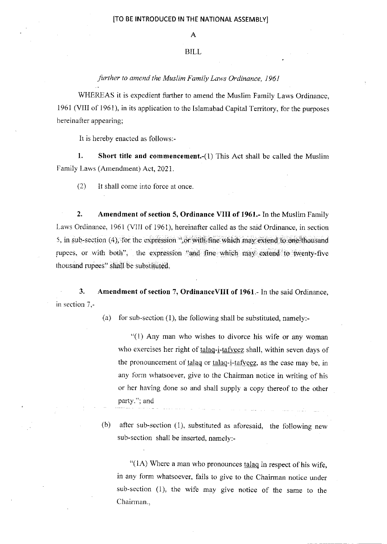## BILL

further to amend the Muslim Family Laws Ordinance, I961

WHEREAS it is expedient further to amend the Muslim Family Laws Ordinance, 1961 (VIII of 1961), in its application to the Islamabad Capital Territory, for the purposes hereinafter appearing;

h is hereby enacted as follows:-

1. Short title and commencement.-(1) This Act shall be called the Muslim Family Laws (Amendment) Act, 2021.

(2) It shall come into force at once.

2. Amendment of section 5, Ordinance VIII of 1961.- In the Muslim Family Laws Ordinance, 1961 (VIII of 1961), hereinafter called as the said Ordinance, in section 5, in sub-section  $(4)$ , for the expression ",or with fine which may extend to one thousand rupees, or with both", the expression "and fine which may extend to twenty-five thousand rupees" shall be substituted.

3. Amendment of section 7, OrdinanceVIII of 1961.- In the said Ordinance, in section 7.-

(a) for sub-section (1), the following shall be substituted, namely:-

 $"(1)$  Any man who wishes to divorce his wife or any woman who exercises her right of talaq-i-tafveez shall, within seven days of the pronouncement of talaq or talaq-i-tafveez, as the case may be, in any form whatsoever, give to the Chairman notice in writing of his or her having done so and shall supply a copy thereof to the other party."; and

(b) after sub-section  $(1)$ , substituted as aforesaid, the following new sub-section shall be inserted, namely:-

"( $1A$ ) Where a man who pronounces  $talaq$  in respect of his wife, in any form whatsoever, fails to give to the Chairman notice under sub-section (1), the wife may give notice of the same to the Chairman.,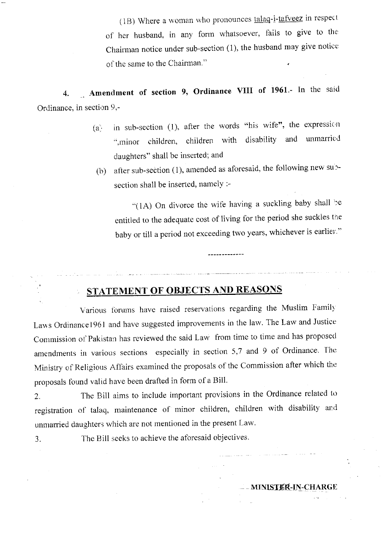( $1B$ ) Where a woman who pronounces  $talaq-i-tafveez$  in respect</u> of her husband, in any form whatsoever, fails to give to the Chairman notice under sub-section (1), the husband may give notice: of the same to the Chairman."

4. Amendment of section 9, Ordinance VIII of 1961.- In the said Ordinance, in section  $9,$ -

- (a) in sub-section (1), after the words "his wife", the expression ",minor children, children with disability and unmarried daughters" shall be inserted; and
- (b) after sub-section (1), amended as aforesaid, the following new subsection shall be inserted, namely :-

"(1A) On divorce the wife having a suckling baby shall be entitled to the adequate cost of living for the period she suckles the baby or till a period not exceeding two years, whichever is earlier."

## STATEMENT OF OBJECTS AND REASONS

 $\label{eq:2} \frac{1}{2\pi\sqrt{-2\pi}}\left(\frac{1}{2\pi}\right)^{2\pi}\left(\frac{1}{2\pi}\right)^{2\pi}\left(\frac{1}{2\pi}\right)^{2\pi}\left(\frac{1}{2\pi}\right)^{2\pi}\left(\frac{1}{2\pi}\right)^{2\pi}\left(\frac{1}{2\pi}\right)^{2\pi}\left(\frac{1}{2\pi}\right)^{2\pi}\left(\frac{1}{2\pi}\right)^{2\pi}\left(\frac{1}{2\pi}\right)^{2\pi}\left(\frac{1}{2\pi}\right)^{2\pi}\left(\frac{1}{2\pi}\right)^{2\pi}\left(\frac{1}{2\pi}\$ 

Various forums have raised reservations regarding the Muslim Family Laws Ordinance1961 and have suggested improvements in the law. The Law and Justice: Commission of Pakistan has reviewed the said Law from time to time and has proposed amendments in various sections especially in section 5,7 and 9 of Ordinance. The Ministry of Religious Affairs examined the proposals of the Commission after which the proposals found valid have been drafted in form of a Bill.

2. The Bill aims to include important provisions in the Ordinance related to registration of talaq, maintenance of minor children, children with disability and unmarried daughters which are not mentioned in the present Law.

3. The Bill seeks to achieve the aforesaid objectives.

## **MINISTER-IN-CHARGE**

فترتم والمراد وللتراث والمرادي والمتحدث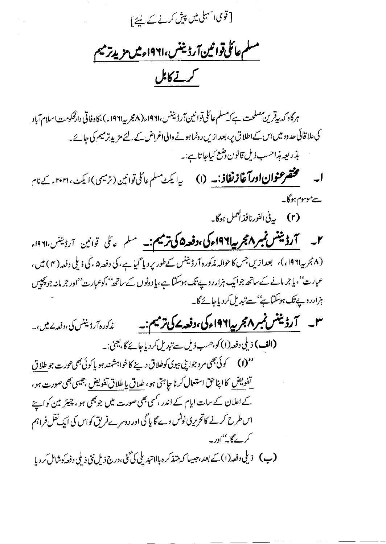[ قوی اسمبلی میں پیش کرنے کے لئے ]

مسلم عائلىقوا نين آردىننس،١٩٢١ء ميں مزيد ترميم كرنے كابل

ہرگاہ کہ بیقرین مصلحت ہے کہ مسلم عائلی قوانین آرڈیننس،۱۹۶۱ء(۸مجر بیہ۱۹۶۱ء)،کاوفاتی دارلحکومت اسلام آباد کی علاقائی حدود میں اس کے اطلاق پر ، بعدازیں رونما ہونے والی اغراض کے لئے مزید ترمیم کی جائے۔ ىذرىعە مذاحسب ذيل قانون دىنى<u>ح كيا</u>جا تايج. <u>ب</u>ە

**ا۔ مختصر عنوان اورآغازنغاذ:۔ (۱)** یہ ایکٹ سلم عائلی قوانین (ترمیمی) ایکٹ، ۲۰۲۱ء کے نام سے موسوم ہوگا۔

(۲) به پی الفورنافذ ا<sup>لعمل</sup> ہوگا۔

۲۔ **آرڈیننس نمبر Aمجر پیاا ۱۹۶اء کی،دفعہ ۵ کی ترمیم:۔** مسلم عائل قوانین آرڈینن،۱۹۶۱ء (۸مجر په۱۹۶۱ء)، بعدازیں جس کا حوالہ مذکورہ آرڈیننس کےطور پر دیا گیا ہے، کی دفعہ۵، کی ذیلی دفعہ (۴) میں ، عبارت''،پاجر مانے کےساتھ جوایک ہزارروپے تک ہوسکتا ہے،پا دونوں کےساتھ''،کوعبارت''اور جرمانہ جو پچپس ہزارروپے تک ہوسکتا ہے''سے تبدیل کردیاجائے گا۔

۳۔ آرڈینٹس نمبر ۹۶؍ بیرا۱۹۶۱ء کی،دفعہ بے کی ترمیم :۔ مذکورہآ رڈیننس کی،دفعہ پرمیں،۔ **(الف)** ذیلی دفعہ(۱) کو،حسب ذیل سے تبدیل کر دیا جائے گا،یعنی:۔ تفويض كانپاحق استعال كرنا جاہتى ہو، طلاق بإطلاق تفويض ،جيسى بھى صورت ہو، کے اعلان کے سات ایام کے اندر ،کسی بھی صورت میں جو بھی ہو ، چیئر مین کو اپنے اس طرح کرنے کاتحریری نوٹس دے گا پاگی اور دوسرے فریق کواس کی ایک نقل فراہم کرے گا۔''اور ۔ (پ) دېلې دفعه(۱) کے بعد،جېيها که متذکره بالاتېدېلي کې گڼې،درج ذېل نئې ذېلې دفعه کوشامل کرد يا